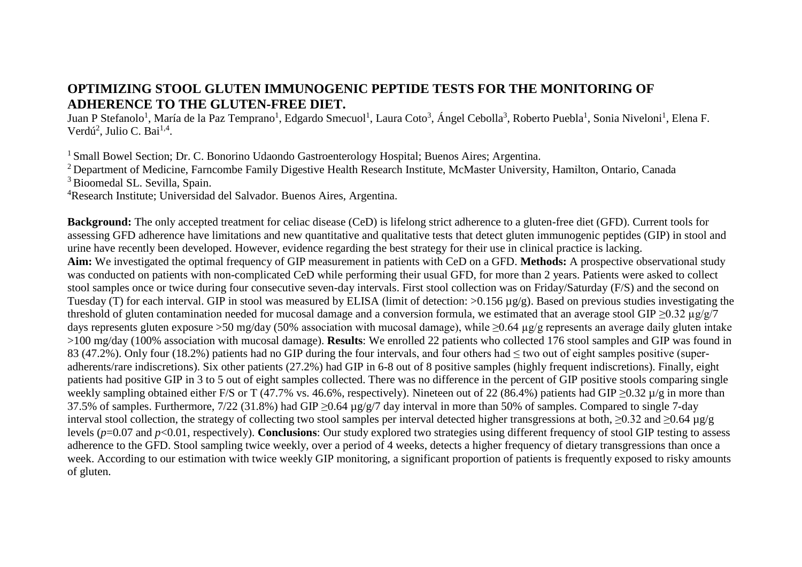## **OPTIMIZING STOOL GLUTEN IMMUNOGENIC PEPTIDE TESTS FOR THE MONITORING OF ADHERENCE TO THE GLUTEN-FREE DIET.**

Juan P Stefanolo<sup>1</sup>, María de la Paz Temprano<sup>1</sup>, Edgardo Smecuol<sup>1</sup>, Laura Coto<sup>3</sup>, Ángel Cebolla<sup>3</sup>, Roberto Puebla<sup>1</sup>, Sonia Niveloni<sup>1</sup>, Elena F. Verdú<sup>2</sup>, Julio C. Bai<sup>1,4</sup>.

<sup>1</sup> Small Bowel Section; Dr. C. Bonorino Udaondo Gastroenterology Hospital; Buenos Aires; Argentina.

<sup>2</sup> Department of Medicine, Farncombe Family Digestive Health Research Institute, McMaster University, Hamilton, Ontario, Canada <sup>3</sup> Bioomedal SL. Sevilla, Spain.

<sup>4</sup>Research Institute; Universidad del Salvador. Buenos Aires, Argentina.

**Background:** The only accepted treatment for celiac disease (CeD) is lifelong strict adherence to a gluten-free diet (GFD). Current tools for assessing GFD adherence have limitations and new quantitative and qualitative tests that detect gluten immunogenic peptides (GIP) in stool and urine have recently been developed. However, evidence regarding the best strategy for their use in clinical practice is lacking. **Aim:** We investigated the optimal frequency of GIP measurement in patients with CeD on a GFD. **Methods:** A prospective observational study was conducted on patients with non-complicated CeD while performing their usual GFD, for more than 2 years. Patients were asked to collect stool samples once or twice during four consecutive seven-day intervals. First stool collection was on Friday/Saturday (F/S) and the second on Tuesday (T) for each interval. GIP in stool was measured by ELISA (limit of detection: >0.156 µg/g). Based on previous studies investigating the threshold of gluten contamination needed for mucosal damage and a conversion formula, we estimated that an average stool GIP >0.32  $\mu$ g/g/7 days represents gluten exposure >50 mg/day (50% association with mucosal damage), while ≥0.64 µg/g represents an average daily gluten intake >100 mg/day (100% association with mucosal damage). **Results**: We enrolled 22 patients who collected 176 stool samples and GIP was found in 83 (47.2%). Only four (18.2%) patients had no GIP during the four intervals, and four others had ≤ two out of eight samples positive (superadherents/rare indiscretions). Six other patients (27.2%) had GIP in 6-8 out of 8 positive samples (highly frequent indiscretions). Finally, eight patients had positive GIP in 3 to 5 out of eight samples collected. There was no difference in the percent of GIP positive stools comparing single weekly sampling obtained either F/S or T (47.7% vs. 46.6%, respectively). Nineteen out of 22 (86.4%) patients had GIP ≥0.32 µ/g in more than 37.5% of samples. Furthermore, 7/22 (31.8%) had GIP ≥0.64 µg/g/7 day interval in more than 50% of samples. Compared to single 7-day interval stool collection, the strategy of collecting two stool samples per interval detected higher transgressions at both, ≥0.32 and ≥0.64 µg/g levels (*p*=0.07 and *p*<0.01, respectively). **Conclusions**: Our study explored two strategies using different frequency of stool GIP testing to assess adherence to the GFD. Stool sampling twice weekly, over a period of 4 weeks, detects a higher frequency of dietary transgressions than once a week. According to our estimation with twice weekly GIP monitoring, a significant proportion of patients is frequently exposed to risky amounts of gluten.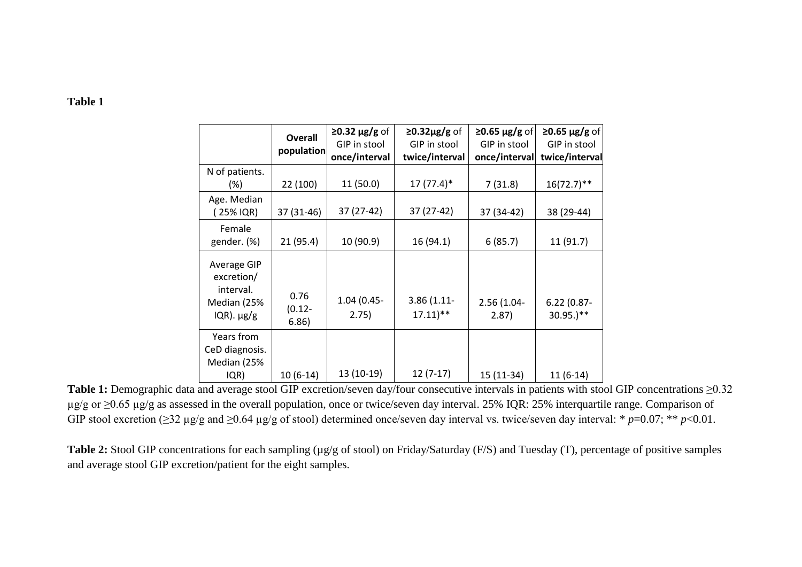## **Table 1**

|                                                                             | <b>Overall</b><br>population | $\geq$ 0.32 µg/g of<br>GIP in stool<br>once/interval | $\geq$ 0.32µg/g of<br>GIP in stool<br>twice/interval | $\geq$ 0.65 µg/g of<br>GIP in stool<br>once/interval | $\geq$ 0.65 µg/g of<br>GIP in stool<br>twice/interval |
|-----------------------------------------------------------------------------|------------------------------|------------------------------------------------------|------------------------------------------------------|------------------------------------------------------|-------------------------------------------------------|
| N of patients.<br>$(\%)$                                                    | 22 (100)                     | 11(50.0)                                             | $17(77.4)$ *                                         | 7(31.8)                                              | $16(72.7)$ **                                         |
| Age. Median<br>(25% IQR)                                                    | 37 (31-46)                   | 37 (27-42)                                           | 37 (27-42)                                           | 37 (34-42)                                           | 38 (29-44)                                            |
| Female<br>gender. (%)                                                       | 21 (95.4)                    | 10 (90.9)                                            | 16(94.1)                                             | 6(85.7)                                              | 11 (91.7)                                             |
| Average GIP<br>excretion/<br>interval.<br>Median (25%<br>$IQR)$ . $\mu g/g$ | 0.76<br>$(0.12 -$<br>6.86)   | 1.04 (0.45-<br>2.75)                                 | 3.86(1.11)<br>$17.11$ <sup>**</sup>                  | 2.56 (1.04-<br>2.87)                                 | $6.22(0.87 -$<br>$30.95.$ <sup>**</sup>               |
| Years from<br>CeD diagnosis.<br>Median (25%<br>IQR)                         | $10(6-14)$                   | 13 (10-19)                                           | $12(7-17)$                                           | 15 (11-34)                                           | $11(6-14)$                                            |

**Table 1:** Demographic data and average stool GIP excretion/seven day/four consecutive intervals in patients with stool GIP concentrations ≥0.32 µg/g or ≥0.65 µg/g as assessed in the overall population, once or twice/seven day interval. 25% IQR: 25% interquartile range. Comparison of GIP stool excretion ( $\geq$ 32 µg/g and  $\geq$ 0.64 µg/g of stool) determined once/seven day interval vs. twice/seven day interval: \* *p*=0.07; \*\* *p*<0.01.

**Table 2:** Stool GIP concentrations for each sampling (µg/g of stool) on Friday/Saturday (F/S) and Tuesday (T), percentage of positive samples and average stool GIP excretion/patient for the eight samples.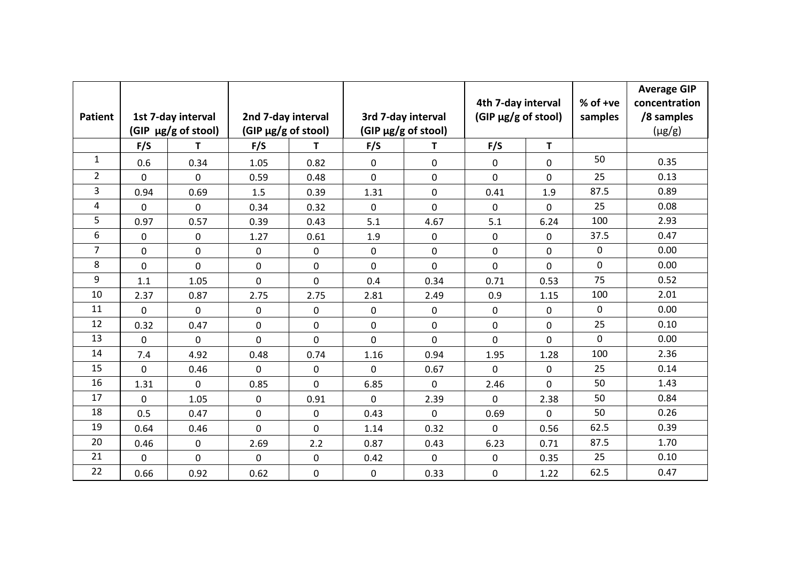| <b>Patient</b> |             | 1st 7-day interval<br>(GIP µg/g of stool) | 2nd 7-day interval<br>(GIP µg/g of stool) |             |             | 3rd 7-day interval<br>(GIP µg/g of stool) | 4th 7-day interval<br>(GIP µg/g of stool) |             | % of +ve<br>samples | <b>Average GIP</b><br>concentration<br>/8 samples<br>$(\mu g/g)$ |
|----------------|-------------|-------------------------------------------|-------------------------------------------|-------------|-------------|-------------------------------------------|-------------------------------------------|-------------|---------------------|------------------------------------------------------------------|
|                | F/S         | T.                                        | F/S                                       | T           | F/S         | T.                                        | F/S                                       | T.          |                     |                                                                  |
| $\mathbf{1}$   | 0.6         | 0.34                                      | 1.05                                      | 0.82        | 0           | 0                                         | 0                                         | 0           | 50                  | 0.35                                                             |
| $\overline{2}$ | 0           | 0                                         | 0.59                                      | 0.48        | $\mathbf 0$ | 0                                         | 0                                         | 0           | 25                  | 0.13                                                             |
| 3              | 0.94        | 0.69                                      | 1.5                                       | 0.39        | 1.31        | 0                                         | 0.41                                      | 1.9         | 87.5                | 0.89                                                             |
| 4              | 0           | 0                                         | 0.34                                      | 0.32        | $\mathbf 0$ | $\mathbf 0$                               | 0                                         | 0           | 25                  | 0.08                                                             |
| 5              | 0.97        | 0.57                                      | 0.39                                      | 0.43        | 5.1         | 4.67                                      | 5.1                                       | 6.24        | 100                 | 2.93                                                             |
| 6              | 0           | 0                                         | 1.27                                      | 0.61        | 1.9         | 0                                         | 0                                         | 0           | 37.5                | 0.47                                                             |
| $\overline{7}$ | $\mathbf 0$ | 0                                         | 0                                         | 0           | $\mathbf 0$ | 0                                         | 0                                         | 0           | 0                   | 0.00                                                             |
| 8              | $\mathbf 0$ | $\mathbf 0$                               | 0                                         | 0           | $\mathbf 0$ | $\mathbf 0$                               | 0                                         | $\mathbf 0$ | $\mathbf 0$         | 0.00                                                             |
| 9              | 1.1         | 1.05                                      | 0                                         | 0           | 0.4         | 0.34                                      | 0.71                                      | 0.53        | 75                  | 0.52                                                             |
| 10             | 2.37        | 0.87                                      | 2.75                                      | 2.75        | 2.81        | 2.49                                      | 0.9                                       | 1.15        | 100                 | 2.01                                                             |
| 11             | $\mathbf 0$ | 0                                         | 0                                         | $\mathbf 0$ | $\mathbf 0$ | 0                                         | 0                                         | 0           | $\mathbf 0$         | 0.00                                                             |
| 12             | 0.32        | 0.47                                      | 0                                         | 0           | $\mathbf 0$ | 0                                         | 0                                         | 0           | 25                  | 0.10                                                             |
| 13             | $\mathbf 0$ | $\mathbf 0$                               | $\mathbf 0$                               | 0           | $\mathbf 0$ | 0                                         | 0                                         | $\mathbf 0$ | $\mathbf 0$         | 0.00                                                             |
| 14             | 7.4         | 4.92                                      | 0.48                                      | 0.74        | 1.16        | 0.94                                      | 1.95                                      | 1.28        | 100                 | 2.36                                                             |
| 15             | $\mathbf 0$ | 0.46                                      | 0                                         | 0           | $\mathbf 0$ | 0.67                                      | 0                                         | 0           | 25                  | 0.14                                                             |
| 16             | 1.31        | $\mathbf 0$                               | 0.85                                      | 0           | 6.85        | 0                                         | 2.46                                      | $\mathbf 0$ | 50                  | 1.43                                                             |
| 17             | $\mathbf 0$ | 1.05                                      | 0                                         | 0.91        | $\mathbf 0$ | 2.39                                      | 0                                         | 2.38        | 50                  | 0.84                                                             |
| 18             | 0.5         | 0.47                                      | 0                                         | 0           | 0.43        | 0                                         | 0.69                                      | 0           | 50                  | 0.26                                                             |
| 19             | 0.64        | 0.46                                      | 0                                         | 0           | 1.14        | 0.32                                      | $\mathbf{0}$                              | 0.56        | 62.5                | 0.39                                                             |
| 20             | 0.46        | 0                                         | 2.69                                      | 2.2         | 0.87        | 0.43                                      | 6.23                                      | 0.71        | 87.5                | 1.70                                                             |
| 21             | $\mathbf 0$ | $\mathbf 0$                               | 0                                         | 0           | 0.42        | 0                                         | 0                                         | 0.35        | 25                  | 0.10                                                             |
| 22             | 0.66        | 0.92                                      | 0.62                                      | 0           | $\mathbf 0$ | 0.33                                      | 0                                         | 1.22        | 62.5                | 0.47                                                             |